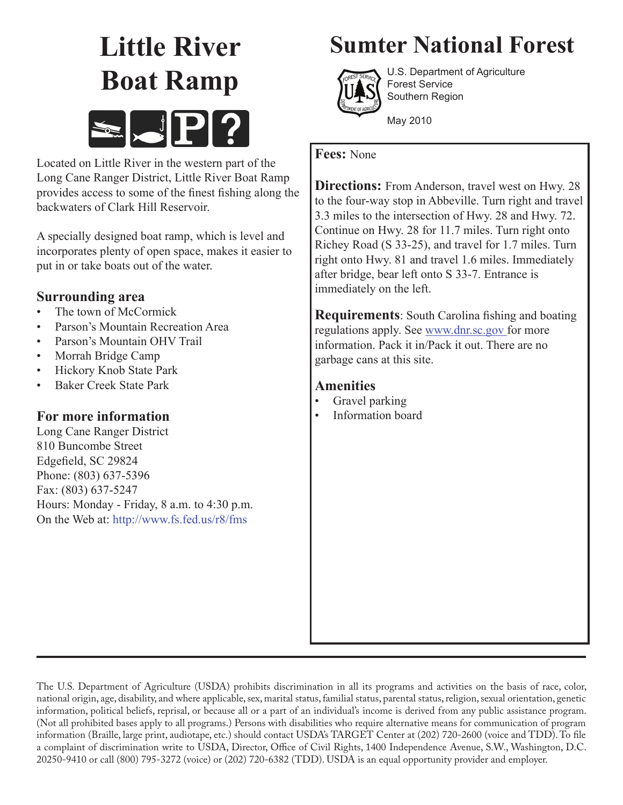# **Little River Boat Ramp**



Located on Little River in the western part of the Long Cane Ranger District, Little River Boat Ramp provides access to some of the finest fishing along the backwaters of Clark Hill Reservoir.

A specially designed boat ramp, which is level and incorporates plenty of open space, makes it easier to put in or take boats out of the water.

## **Surrounding area**

- The town of McCormick
- Parson's Mountain Recreation Area
- Parson's Mountain OHV Trail
- Morrah Bridge Camp
- Hickory Knob State Park
- Baker Creek State Park

### **For more information**

Long Cane Ranger District 810 Buncombe Street Edgefield, SC 29824 Phone: (803) 637-5396 Fax: (803) 637-5247 Hours: Monday - Friday, 8 a.m. to 4:30 p.m. On the Web at: http://www.fs.fed.us/r8/fms

# **Sumter National Forest**



U.S. Department of Agriculture Forest Service Southern Region

May 2010

#### **Fees:** None

**Directions:** From Anderson, travel west on Hwy. 28 to the four-way stop in Abbeville. Turn right and travel 3.3 miles to the intersection of Hwy. 28 and Hwy. 72. Continue on Hwy. 28 for 11.7 miles. Turn right onto Richey Road (S 33-25), and travel for 1.7 miles. Turn right onto Hwy. 81 and travel 1.6 miles. Immediately after bridge, bear left onto S 33-7. Entrance is immediately on the left.

**Requirements**: South Carolina fishing and boating regulations apply. See www.dnr.sc.gov for more information. Pack it in/Pack it out. There are no garbage cans at this site.

### **Amenities**

- Gravel parking
- Information board

The U.S. Department of Agriculture (USDA) prohibits discrimination in all its programs and activities on the basis of race, color, national origin, age, disability, and where applicable, sex, marital status, familial status, parental status, religion, sexual orientation, genetic information, political beliefs, reprisal, or because all or a part of an individual's income is derived from any public assistance program. (Not all prohibited bases apply to all programs.) Persons with disabilities who require alternative means for communication of program information (Braille, large print, audiotape, etc.) should contact USDA's TARGET Center at (202) 720-2600 (voice and TDD). To file a complaint of discrimination write to USDA, Director, Office of Civil Rights, 1400 Independence Avenue, S.W., Washington, D.C. 20250-9410 or call (800) 795-3272 (voice) or (202) 720-6382 (TDD). USDA is an equal opportunity provider and employer.